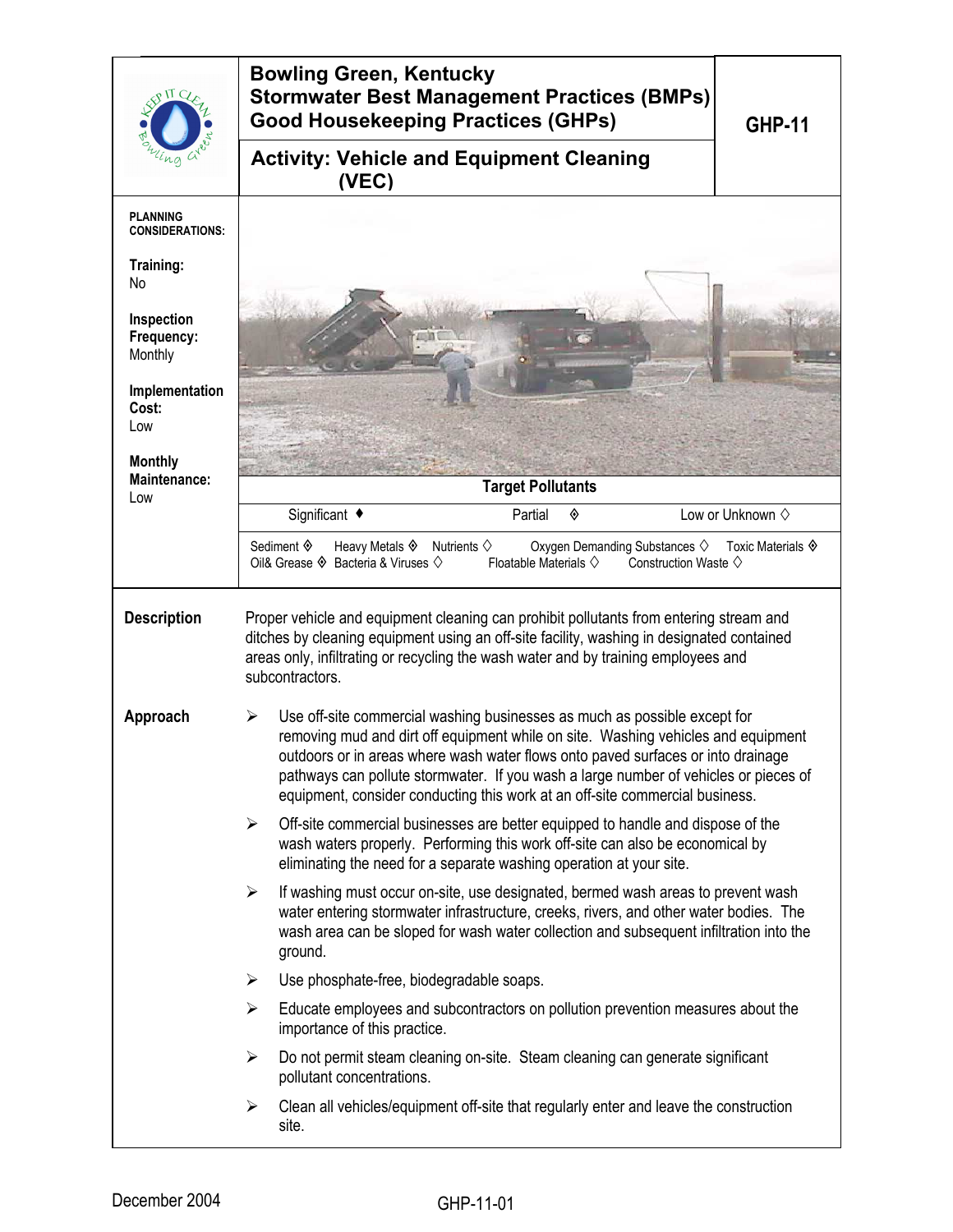| $\overline{U}$                            | <b>Bowling Green, Kentucky</b><br><b>Stormwater Best Management Practices (BMPs)</b><br><b>Good Housekeeping Practices (GHPs)</b>                                                                                                                                                                                                                                                                                                                                                                                                                                                                                                                                               | <b>GHP-11</b>                             |  |  |
|-------------------------------------------|---------------------------------------------------------------------------------------------------------------------------------------------------------------------------------------------------------------------------------------------------------------------------------------------------------------------------------------------------------------------------------------------------------------------------------------------------------------------------------------------------------------------------------------------------------------------------------------------------------------------------------------------------------------------------------|-------------------------------------------|--|--|
|                                           | <b>Activity: Vehicle and Equipment Cleaning</b><br>(VEC)                                                                                                                                                                                                                                                                                                                                                                                                                                                                                                                                                                                                                        |                                           |  |  |
| <b>PLANNING</b><br><b>CONSIDERATIONS:</b> |                                                                                                                                                                                                                                                                                                                                                                                                                                                                                                                                                                                                                                                                                 |                                           |  |  |
| Training:<br>No                           |                                                                                                                                                                                                                                                                                                                                                                                                                                                                                                                                                                                                                                                                                 |                                           |  |  |
| Inspection<br>Frequency:<br>Monthly       |                                                                                                                                                                                                                                                                                                                                                                                                                                                                                                                                                                                                                                                                                 |                                           |  |  |
| Implementation<br>Cost:<br>Low            |                                                                                                                                                                                                                                                                                                                                                                                                                                                                                                                                                                                                                                                                                 |                                           |  |  |
| <b>Monthly</b><br><b>Maintenance:</b>     | <b>Target Pollutants</b>                                                                                                                                                                                                                                                                                                                                                                                                                                                                                                                                                                                                                                                        |                                           |  |  |
| Low                                       | Significant ◆<br>Partial<br>◈                                                                                                                                                                                                                                                                                                                                                                                                                                                                                                                                                                                                                                                   | Low or Unknown $\diamond$                 |  |  |
|                                           | Sediment �<br>Heavy Metals $\Diamond$ Nutrients $\Diamond$<br>Oxygen Demanding Substances $\diamondsuit$<br>Oil& Grease ♦ Bacteria & Viruses ♦<br>Floatable Materials $\diamondsuit$<br>Construction Waste $\diamondsuit$                                                                                                                                                                                                                                                                                                                                                                                                                                                       | Toxic Materials $\hat{\mathbf{\diamond}}$ |  |  |
| <b>Description</b>                        | Proper vehicle and equipment cleaning can prohibit pollutants from entering stream and<br>ditches by cleaning equipment using an off-site facility, washing in designated contained<br>areas only, infiltrating or recycling the wash water and by training employees and<br>subcontractors.                                                                                                                                                                                                                                                                                                                                                                                    |                                           |  |  |
| Approach                                  | Use off-site commercial washing businesses as much as possible except for<br>⋗<br>removing mud and dirt off equipment while on site. Washing vehicles and equipment<br>outdoors or in areas where wash water flows onto paved surfaces or into drainage<br>pathways can pollute stormwater. If you wash a large number of vehicles or pieces of<br>equipment, consider conducting this work at an off-site commercial business.<br>Off-site commercial businesses are better equipped to handle and dispose of the<br>➤<br>wash waters properly. Performing this work off-site can also be economical by<br>eliminating the need for a separate washing operation at your site. |                                           |  |  |
|                                           |                                                                                                                                                                                                                                                                                                                                                                                                                                                                                                                                                                                                                                                                                 |                                           |  |  |
|                                           | $\blacktriangleright$<br>If washing must occur on-site, use designated, bermed wash areas to prevent wash<br>water entering stormwater infrastructure, creeks, rivers, and other water bodies. The<br>wash area can be sloped for wash water collection and subsequent infiltration into the<br>ground.                                                                                                                                                                                                                                                                                                                                                                         |                                           |  |  |
|                                           | Use phosphate-free, biodegradable soaps.<br>➤                                                                                                                                                                                                                                                                                                                                                                                                                                                                                                                                                                                                                                   |                                           |  |  |
|                                           | ➤<br>Educate employees and subcontractors on pollution prevention measures about the<br>importance of this practice.                                                                                                                                                                                                                                                                                                                                                                                                                                                                                                                                                            |                                           |  |  |
|                                           | Do not permit steam cleaning on-site. Steam cleaning can generate significant<br>$\blacktriangleright$<br>pollutant concentrations.                                                                                                                                                                                                                                                                                                                                                                                                                                                                                                                                             |                                           |  |  |
|                                           | Clean all vehicles/equipment off-site that regularly enter and leave the construction<br>➤<br>site.                                                                                                                                                                                                                                                                                                                                                                                                                                                                                                                                                                             |                                           |  |  |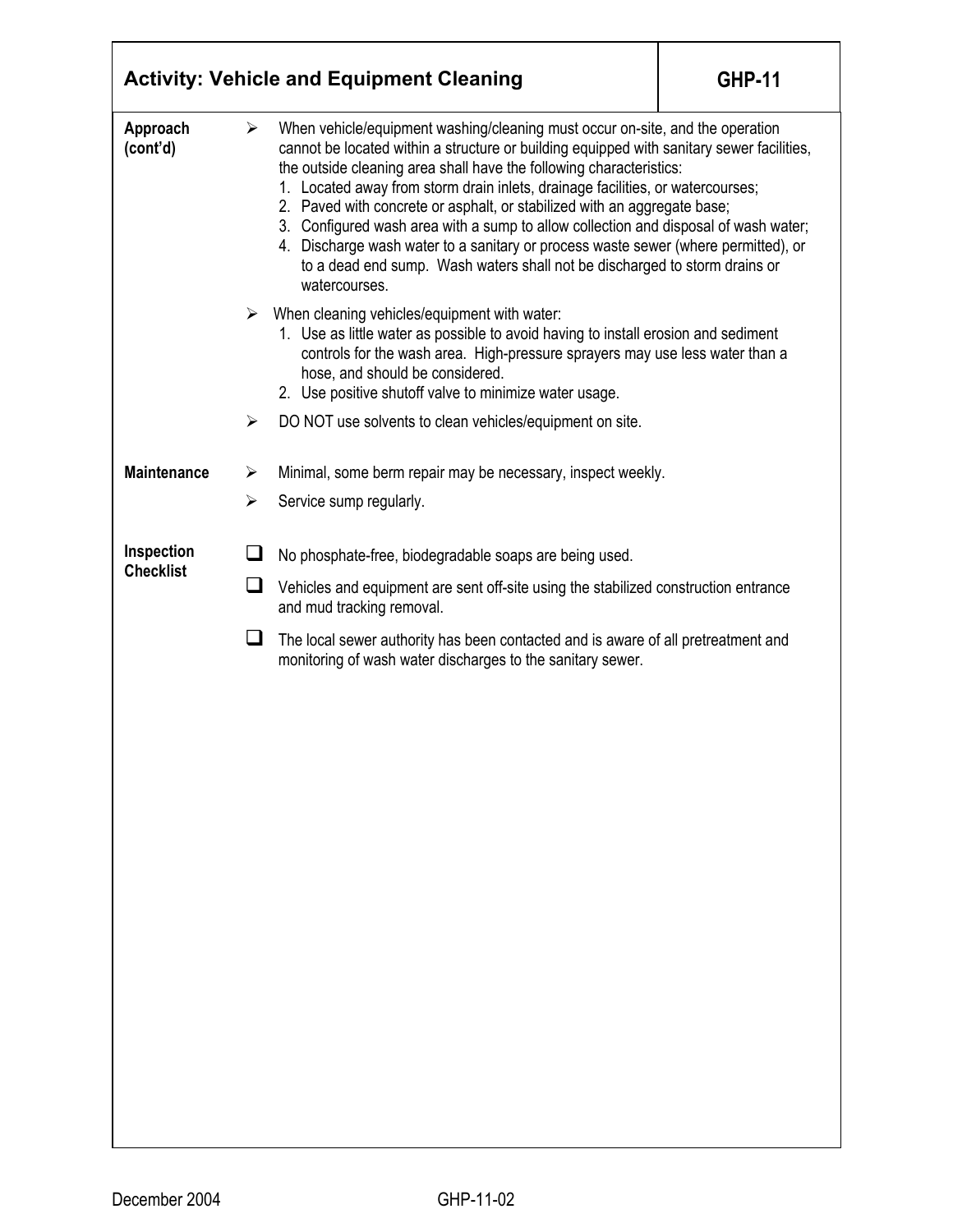|                      |   | <b>Activity: Vehicle and Equipment Cleaning</b>                                                                                                                                                                                                                                                                                                                                                                                                                                                                                                                                                                                                                                             | <b>GHP-11</b> |  |  |
|----------------------|---|---------------------------------------------------------------------------------------------------------------------------------------------------------------------------------------------------------------------------------------------------------------------------------------------------------------------------------------------------------------------------------------------------------------------------------------------------------------------------------------------------------------------------------------------------------------------------------------------------------------------------------------------------------------------------------------------|---------------|--|--|
| Approach<br>(cont'd) | ➤ | When vehicle/equipment washing/cleaning must occur on-site, and the operation<br>cannot be located within a structure or building equipped with sanitary sewer facilities,<br>the outside cleaning area shall have the following characteristics:<br>1. Located away from storm drain inlets, drainage facilities, or watercourses;<br>2. Paved with concrete or asphalt, or stabilized with an aggregate base;<br>3. Configured wash area with a sump to allow collection and disposal of wash water;<br>4. Discharge wash water to a sanitary or process waste sewer (where permitted), or<br>to a dead end sump. Wash waters shall not be discharged to storm drains or<br>watercourses. |               |  |  |
|                      |   | When cleaning vehicles/equipment with water:<br>1. Use as little water as possible to avoid having to install erosion and sediment<br>controls for the wash area. High-pressure sprayers may use less water than a<br>hose, and should be considered.<br>2. Use positive shutoff valve to minimize water usage.                                                                                                                                                                                                                                                                                                                                                                             |               |  |  |
|                      | ➤ | DO NOT use solvents to clean vehicles/equipment on site.                                                                                                                                                                                                                                                                                                                                                                                                                                                                                                                                                                                                                                    |               |  |  |
| <b>Maintenance</b>   | ➤ | Minimal, some berm repair may be necessary, inspect weekly.                                                                                                                                                                                                                                                                                                                                                                                                                                                                                                                                                                                                                                 |               |  |  |
|                      | ➤ | Service sump regularly.                                                                                                                                                                                                                                                                                                                                                                                                                                                                                                                                                                                                                                                                     |               |  |  |
| Inspection           |   |                                                                                                                                                                                                                                                                                                                                                                                                                                                                                                                                                                                                                                                                                             |               |  |  |
| <b>Checklist</b>     | ப | No phosphate-free, biodegradable soaps are being used.<br>Vehicles and equipment are sent off-site using the stabilized construction entrance<br>and mud tracking removal.                                                                                                                                                                                                                                                                                                                                                                                                                                                                                                                  |               |  |  |
|                      | ப | The local sewer authority has been contacted and is aware of all pretreatment and<br>monitoring of wash water discharges to the sanitary sewer.                                                                                                                                                                                                                                                                                                                                                                                                                                                                                                                                             |               |  |  |
|                      |   |                                                                                                                                                                                                                                                                                                                                                                                                                                                                                                                                                                                                                                                                                             |               |  |  |
|                      |   |                                                                                                                                                                                                                                                                                                                                                                                                                                                                                                                                                                                                                                                                                             |               |  |  |
|                      |   |                                                                                                                                                                                                                                                                                                                                                                                                                                                                                                                                                                                                                                                                                             |               |  |  |
|                      |   |                                                                                                                                                                                                                                                                                                                                                                                                                                                                                                                                                                                                                                                                                             |               |  |  |
|                      |   |                                                                                                                                                                                                                                                                                                                                                                                                                                                                                                                                                                                                                                                                                             |               |  |  |
|                      |   |                                                                                                                                                                                                                                                                                                                                                                                                                                                                                                                                                                                                                                                                                             |               |  |  |
|                      |   |                                                                                                                                                                                                                                                                                                                                                                                                                                                                                                                                                                                                                                                                                             |               |  |  |
|                      |   |                                                                                                                                                                                                                                                                                                                                                                                                                                                                                                                                                                                                                                                                                             |               |  |  |